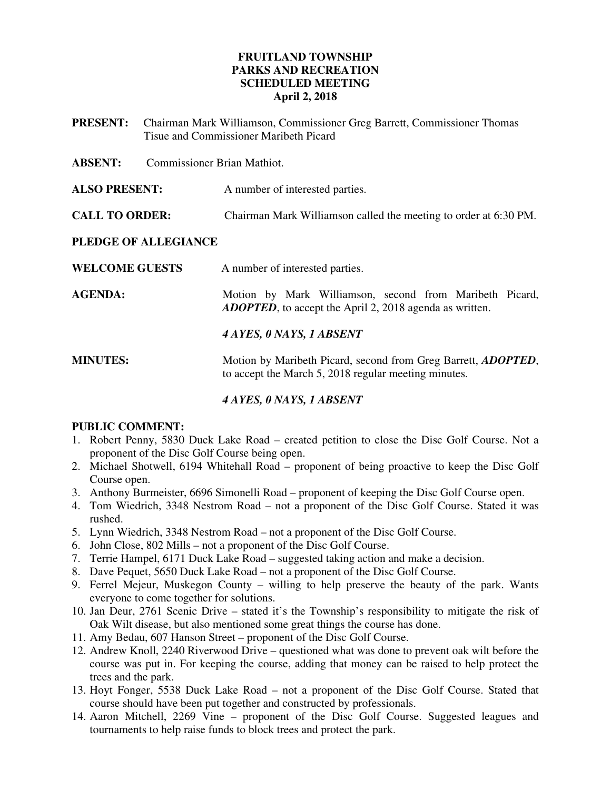## **FRUITLAND TOWNSHIP PARKS AND RECREATION SCHEDULED MEETING April 2, 2018**

**PRESENT:** Chairman Mark Williamson, Commissioner Greg Barrett, Commissioner Thomas Tisue and Commissioner Maribeth Picard

**ABSENT:** Commissioner Brian Mathiot.

**ALSO PRESENT:** A number of interested parties.

**CALL TO ORDER:** Chairman Mark Williamson called the meeting to order at 6:30 PM.

## **PLEDGE OF ALLEGIANCE**

| <b>WELCOME GUESTS</b> | A number of interested parties.                                                                                               |
|-----------------------|-------------------------------------------------------------------------------------------------------------------------------|
| <b>AGENDA:</b>        | Motion by Mark Williamson, second from Maribeth Picard,<br><b>ADOPTED</b> , to accept the April 2, 2018 agenda as written.    |
|                       | 4 AYES, 0 NAYS, 1 ABSENT                                                                                                      |
| <b>MINUTES:</b>       | Motion by Maribeth Picard, second from Greg Barrett, <i>ADOPTED</i> ,<br>to accept the March 5, 2018 regular meeting minutes. |

## *4 AYES, 0 NAYS, 1 ABSENT*

## **PUBLIC COMMENT:**

- 1. Robert Penny, 5830 Duck Lake Road created petition to close the Disc Golf Course. Not a proponent of the Disc Golf Course being open.
- 2. Michael Shotwell, 6194 Whitehall Road proponent of being proactive to keep the Disc Golf Course open.
- 3. Anthony Burmeister, 6696 Simonelli Road proponent of keeping the Disc Golf Course open.
- 4. Tom Wiedrich, 3348 Nestrom Road not a proponent of the Disc Golf Course. Stated it was rushed.
- 5. Lynn Wiedrich, 3348 Nestrom Road not a proponent of the Disc Golf Course.
- 6. John Close, 802 Mills not a proponent of the Disc Golf Course.
- 7. Terrie Hampel, 6171 Duck Lake Road suggested taking action and make a decision.
- 8. Dave Pequet, 5650 Duck Lake Road not a proponent of the Disc Golf Course.
- 9. Ferrel Mejeur, Muskegon County willing to help preserve the beauty of the park. Wants everyone to come together for solutions.
- 10. Jan Deur, 2761 Scenic Drive stated it's the Township's responsibility to mitigate the risk of Oak Wilt disease, but also mentioned some great things the course has done.
- 11. Amy Bedau, 607 Hanson Street proponent of the Disc Golf Course.
- 12. Andrew Knoll, 2240 Riverwood Drive questioned what was done to prevent oak wilt before the course was put in. For keeping the course, adding that money can be raised to help protect the trees and the park.
- 13. Hoyt Fonger, 5538 Duck Lake Road not a proponent of the Disc Golf Course. Stated that course should have been put together and constructed by professionals.
- 14. Aaron Mitchell, 2269 Vine proponent of the Disc Golf Course. Suggested leagues and tournaments to help raise funds to block trees and protect the park.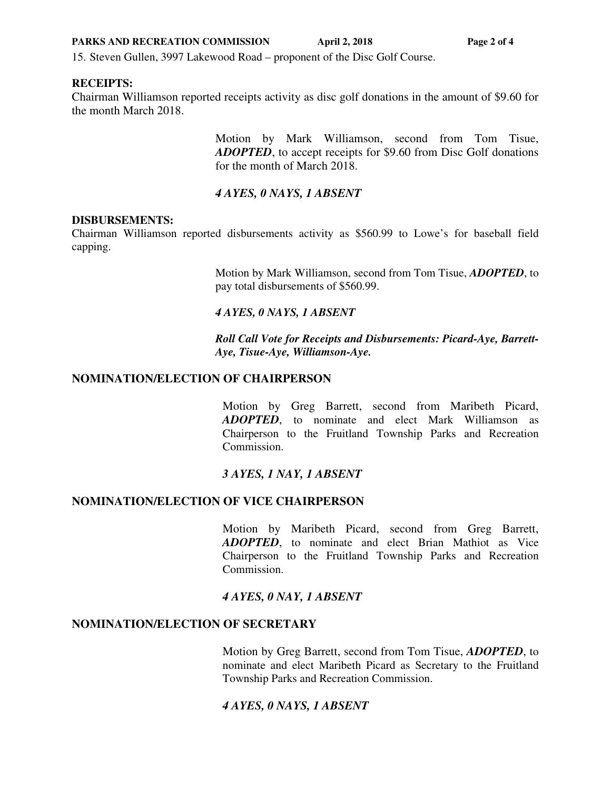**PARKS AND RECREATION COMMISSION** April 2, 2018 **Page 2 of 4** 

15. Steven Gullen, 3997 Lakewood Road – proponent of the Disc Golf Course.

#### **RECEIPTS:**

Chairman Williamson reported receipts activity as disc golf donations in the amount of \$9.60 for the month March 2018.

> Motion by Mark Williamson, second from Tom Tisue, *ADOPTED*, to accept receipts for \$9.60 from Disc Golf donations for the month of March 2018.

## *4 AYES, 0 NAYS, 1 ABSENT*

#### **DISBURSEMENTS:**

Chairman Williamson reported disbursements activity as \$560.99 to Lowe's for baseball field capping.

> Motion by Mark Williamson, second from Tom Tisue, *ADOPTED*, to pay total disbursements of \$560.99.

#### *4 AYES, 0 NAYS, 1 ABSENT*

 *Roll Call Vote for Receipts and Disbursements: Picard-Aye, Barrett-Aye, Tisue-Aye, Williamson-Aye.* 

## **NOMINATION/ELECTION OF CHAIRPERSON**

Motion by Greg Barrett, second from Maribeth Picard, *ADOPTED*, to nominate and elect Mark Williamson as Chairperson to the Fruitland Township Parks and Recreation Commission.

## *3 AYES, 1 NAY, 1 ABSENT*

## **NOMINATION/ELECTION OF VICE CHAIRPERSON**

Motion by Maribeth Picard, second from Greg Barrett, *ADOPTED*, to nominate and elect Brian Mathiot as Vice Chairperson to the Fruitland Township Parks and Recreation Commission.

## *4 AYES, 0 NAY, 1 ABSENT*

#### **NOMINATION/ELECTION OF SECRETARY**

Motion by Greg Barrett, second from Tom Tisue, *ADOPTED*, to nominate and elect Maribeth Picard as Secretary to the Fruitland Township Parks and Recreation Commission.

## *4 AYES, 0 NAYS, 1 ABSENT*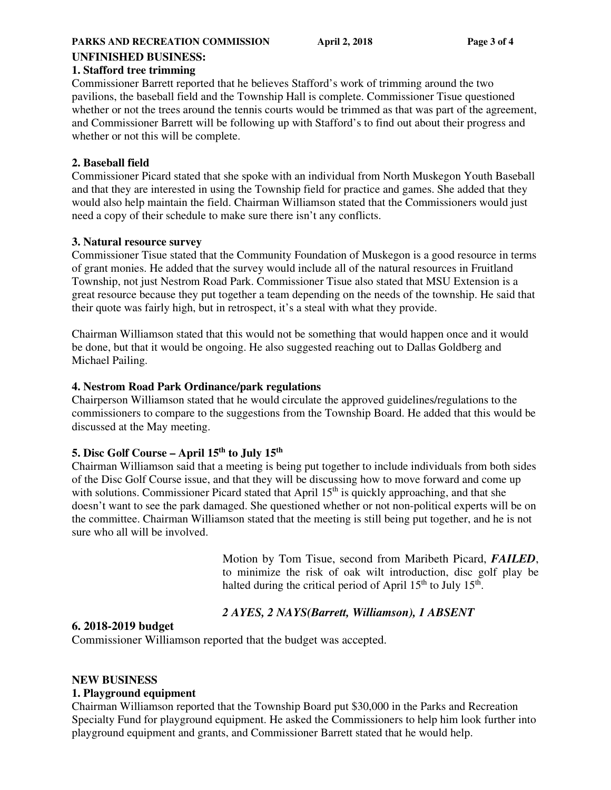## **UNFINISHED BUSINESS:**

### **1. Stafford tree trimming**

Commissioner Barrett reported that he believes Stafford's work of trimming around the two pavilions, the baseball field and the Township Hall is complete. Commissioner Tisue questioned whether or not the trees around the tennis courts would be trimmed as that was part of the agreement, and Commissioner Barrett will be following up with Stafford's to find out about their progress and whether or not this will be complete.

## **2. Baseball field**

Commissioner Picard stated that she spoke with an individual from North Muskegon Youth Baseball and that they are interested in using the Township field for practice and games. She added that they would also help maintain the field. Chairman Williamson stated that the Commissioners would just need a copy of their schedule to make sure there isn't any conflicts.

## **3. Natural resource survey**

Commissioner Tisue stated that the Community Foundation of Muskegon is a good resource in terms of grant monies. He added that the survey would include all of the natural resources in Fruitland Township, not just Nestrom Road Park. Commissioner Tisue also stated that MSU Extension is a great resource because they put together a team depending on the needs of the township. He said that their quote was fairly high, but in retrospect, it's a steal with what they provide.

Chairman Williamson stated that this would not be something that would happen once and it would be done, but that it would be ongoing. He also suggested reaching out to Dallas Goldberg and Michael Pailing.

## **4. Nestrom Road Park Ordinance/park regulations**

Chairperson Williamson stated that he would circulate the approved guidelines/regulations to the commissioners to compare to the suggestions from the Township Board. He added that this would be discussed at the May meeting.

# **5. Disc Golf Course – April 15th to July 15th**

Chairman Williamson said that a meeting is being put together to include individuals from both sides of the Disc Golf Course issue, and that they will be discussing how to move forward and come up with solutions. Commissioner Picard stated that April  $15<sup>th</sup>$  is quickly approaching, and that she doesn't want to see the park damaged. She questioned whether or not non-political experts will be on the committee. Chairman Williamson stated that the meeting is still being put together, and he is not sure who all will be involved.

> Motion by Tom Tisue, second from Maribeth Picard, *FAILED*, to minimize the risk of oak wilt introduction, disc golf play be halted during the critical period of April  $15<sup>th</sup>$  to July  $15<sup>th</sup>$ .

# *2 AYES, 2 NAYS(Barrett, Williamson), 1 ABSENT*

## **6. 2018-2019 budget**

Commissioner Williamson reported that the budget was accepted.

## **NEW BUSINESS**

## **1. Playground equipment**

Chairman Williamson reported that the Township Board put \$30,000 in the Parks and Recreation Specialty Fund for playground equipment. He asked the Commissioners to help him look further into playground equipment and grants, and Commissioner Barrett stated that he would help.